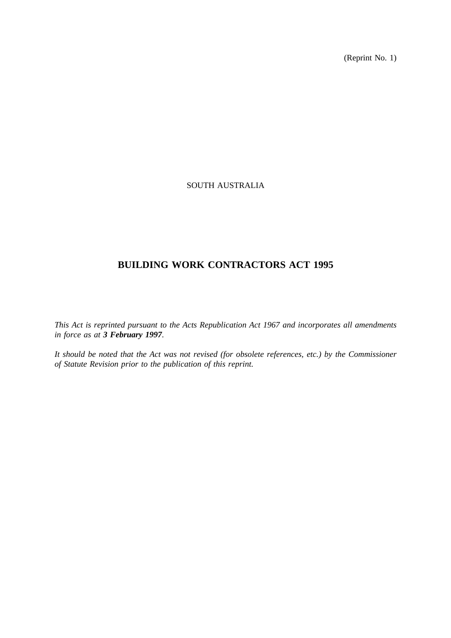(Reprint No. 1)

# SOUTH AUSTRALIA

# **BUILDING WORK CONTRACTORS ACT 1995**

*This Act is reprinted pursuant to the Acts Republication Act 1967 and incorporates all amendments in force as at 3 February 1997.*

*It should be noted that the Act was not revised (for obsolete references, etc.) by the Commissioner of Statute Revision prior to the publication of this reprint.*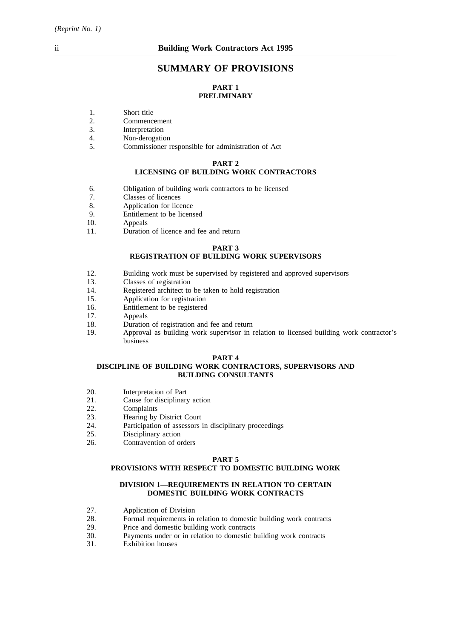# **SUMMARY OF PROVISIONS**

# **PART 1 PRELIMINARY**

- 1. Short title
- 2. Commencement
- 3. Interpretation
- 4. Non-derogation
- 5. Commissioner responsible for administration of Act

#### **PART 2**

# **LICENSING OF BUILDING WORK CONTRACTORS**

- 6. Obligation of building work contractors to be licensed
- 7. Classes of licences
- 8. Application for licence
- 9. Entitlement to be licensed<br>10. Appeals
- Appeals
- 11. Duration of licence and fee and return

#### **PART 3**

# **REGISTRATION OF BUILDING WORK SUPERVISORS**

- 12. Building work must be supervised by registered and approved supervisors 13.
- 13. Classes of registration<br>14 Registered architect to
- 14. Registered architect to be taken to hold registration<br>15. Application for registration
- Application for registration
- 16. Entitlement to be registered<br>17. Anneals
- Appeals
- 18. Duration of registration and fee and return
- 19. Approval as building work supervisor in relation to licensed building work contractor's business

#### **PART 4**

## **DISCIPLINE OF BUILDING WORK CONTRACTORS, SUPERVISORS AND BUILDING CONSULTANTS**

- 20. Interpretation of Part
- 21. Cause for disciplinary action
- 22. Complaints
- 23. Hearing by District Court
- 24. Participation of assessors in disciplinary proceedings
- 25. Disciplinary action<br>26. Contravention of our
- Contravention of orders

#### **PART 5**

### **PROVISIONS WITH RESPECT TO DOMESTIC BUILDING WORK**

#### **DIVISION 1—REQUIREMENTS IN RELATION TO CERTAIN DOMESTIC BUILDING WORK CONTRACTS**

- 27. Application of Division<br>28. Formal requirements in
- 28. Formal requirements in relation to domestic building work contracts 29. Price and domestic building work contracts
- Price and domestic building work contracts
- 30. Payments under or in relation to domestic building work contracts
- 31. Exhibition houses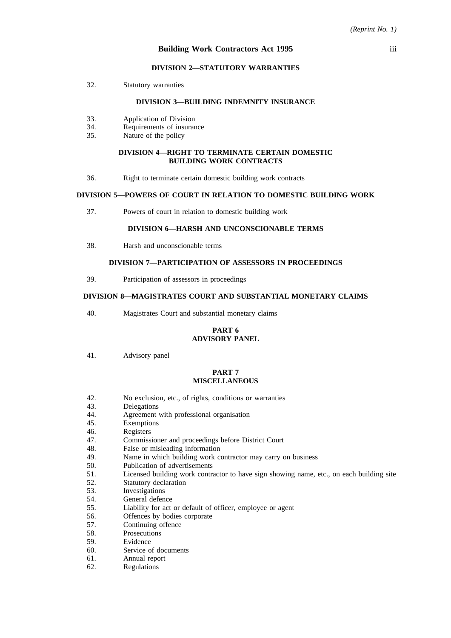#### **DIVISION 2—STATUTORY WARRANTIES**

32. Statutory warranties

#### **DIVISION 3—BUILDING INDEMNITY INSURANCE**

- 33. Application of Division
- 34. Requirements of insurance
- 35. Nature of the policy

#### **DIVISION 4—RIGHT TO TERMINATE CERTAIN DOMESTIC BUILDING WORK CONTRACTS**

36. Right to terminate certain domestic building work contracts

## **DIVISION 5—POWERS OF COURT IN RELATION TO DOMESTIC BUILDING WORK**

37. Powers of court in relation to domestic building work

# **DIVISION 6—HARSH AND UNCONSCIONABLE TERMS**

38. Harsh and unconscionable terms

# **DIVISION 7—PARTICIPATION OF ASSESSORS IN PROCEEDINGS**

39. Participation of assessors in proceedings

# **DIVISION 8—MAGISTRATES COURT AND SUBSTANTIAL MONETARY CLAIMS**

40. Magistrates Court and substantial monetary claims

#### **PART 6 ADVISORY PANEL**

41. Advisory panel

#### **PART 7 MISCELLANEOUS**

- 42. No exclusion, etc., of rights, conditions or warranties
- 43. Delegations
- 44. Agreement with professional organisation
- 45. Exemptions
- 46. Registers
- 47. Commissioner and proceedings before District Court
- 48. False or misleading information
- 49. Name in which building work contractor may carry on business
- 50. Publication of advertisements
- 51. Licensed building work contractor to have sign showing name, etc., on each building site
- 52. Statutory declaration
- 53. Investigations
- 54. General defence
- 55. Liability for act or default of officer, employee or agent
- 56. Offences by bodies corporate
- 57. Continuing offence
- 58. Prosecutions
- 59. Evidence
- 60. Service of documents
- 61. Annual report
- 62. Regulations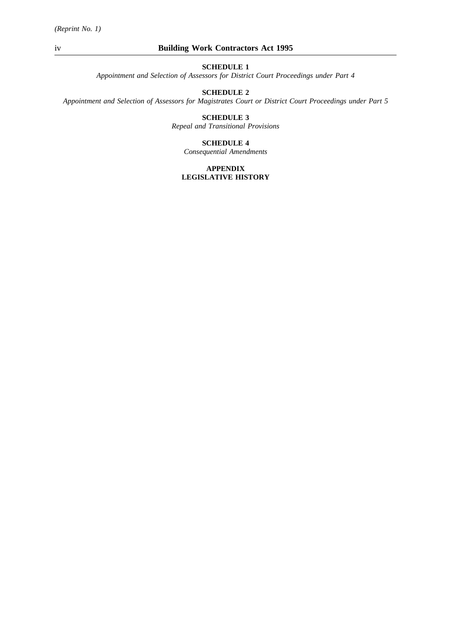*Appointment and Selection of Assessors for District Court Proceedings under Part 4*

# **SCHEDULE 2**

*Appointment and Selection of Assessors for Magistrates Court or District Court Proceedings under Part 5*

# **SCHEDULE 3**

*Repeal and Transitional Provisions*

## **SCHEDULE 4**

*Consequential Amendments*

## **APPENDIX LEGISLATIVE HISTORY**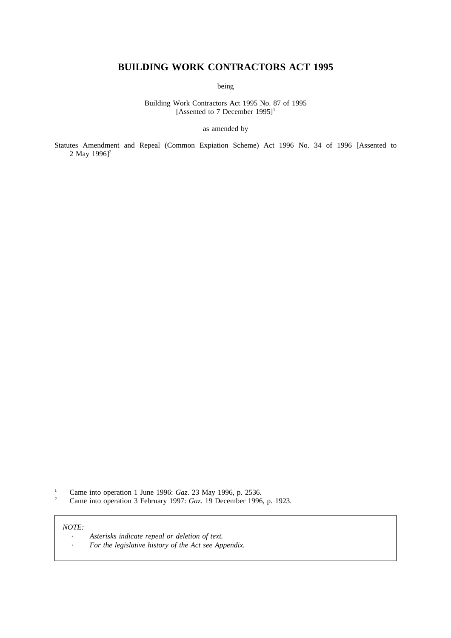# **BUILDING WORK CONTRACTORS ACT 1995**

being

Building Work Contractors Act 1995 No. 87 of 1995 [Assented to 7 December 1995]<sup>1</sup>

as amended by

Statutes Amendment and Repeal (Common Expiation Scheme) Act 1996 No. 34 of 1996 [Assented to 2 May  $1996$ <sup>2</sup>

<sup>1</sup> Came into operation 1 June 1996: *Gaz.* 23 May 1996, p. 2536.

<sup>2</sup> Came into operation 3 February 1997: *Gaz*. 19 December 1996, p. 1923.

#### *NOTE:*

| Asterisks indicate repeal or deletion of text.       |
|------------------------------------------------------|
| For the legislative history of the Act see Appendix. |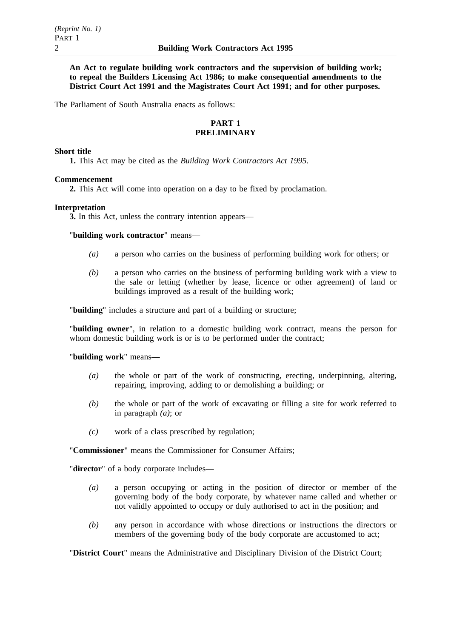**An Act to regulate building work contractors and the supervision of building work; to repeal the Builders Licensing Act 1986; to make consequential amendments to the District Court Act 1991 and the Magistrates Court Act 1991; and for other purposes.**

The Parliament of South Australia enacts as follows:

# **PART 1 PRELIMINARY**

# **Short title**

**1.** This Act may be cited as the *Building Work Contractors Act 1995*.

# **Commencement**

**2.** This Act will come into operation on a day to be fixed by proclamation.

## **Interpretation**

**3.** In this Act, unless the contrary intention appears—

"**building work contractor**" means—

- *(a)* a person who carries on the business of performing building work for others; or
- *(b)* a person who carries on the business of performing building work with a view to the sale or letting (whether by lease, licence or other agreement) of land or buildings improved as a result of the building work;

"**building**" includes a structure and part of a building or structure;

"**building owner**", in relation to a domestic building work contract, means the person for whom domestic building work is or is to be performed under the contract;

#### "**building work**" means—

- *(a)* the whole or part of the work of constructing, erecting, underpinning, altering, repairing, improving, adding to or demolishing a building; or
- *(b)* the whole or part of the work of excavating or filling a site for work referred to in paragraph *(a)*; or
- *(c)* work of a class prescribed by regulation;

"**Commissioner**" means the Commissioner for Consumer Affairs;

"**director**" of a body corporate includes—

- *(a)* a person occupying or acting in the position of director or member of the governing body of the body corporate, by whatever name called and whether or not validly appointed to occupy or duly authorised to act in the position; and
- *(b)* any person in accordance with whose directions or instructions the directors or members of the governing body of the body corporate are accustomed to act;

"**District Court**" means the Administrative and Disciplinary Division of the District Court;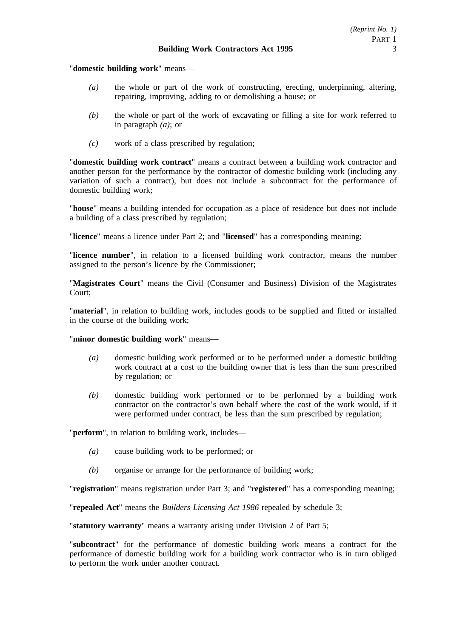"**domestic building work**" means—

- *(a)* the whole or part of the work of constructing, erecting, underpinning, altering, repairing, improving, adding to or demolishing a house; or
- *(b)* the whole or part of the work of excavating or filling a site for work referred to in paragraph *(a)*; or
- *(c)* work of a class prescribed by regulation;

"**domestic building work contract**" means a contract between a building work contractor and another person for the performance by the contractor of domestic building work (including any variation of such a contract), but does not include a subcontract for the performance of domestic building work;

"**house**" means a building intended for occupation as a place of residence but does not include a building of a class prescribed by regulation;

"**licence**" means a licence under Part 2; and "**licensed**" has a corresponding meaning;

"**licence number**", in relation to a licensed building work contractor, means the number assigned to the person's licence by the Commissioner;

"**Magistrates Court**" means the Civil (Consumer and Business) Division of the Magistrates Court;

"**material**", in relation to building work, includes goods to be supplied and fitted or installed in the course of the building work;

# "**minor domestic building work**" means—

- *(a)* domestic building work performed or to be performed under a domestic building work contract at a cost to the building owner that is less than the sum prescribed by regulation; or
- *(b)* domestic building work performed or to be performed by a building work contractor on the contractor's own behalf where the cost of the work would, if it were performed under contract, be less than the sum prescribed by regulation;

"**perform**", in relation to building work, includes—

- *(a)* cause building work to be performed; or
- *(b)* organise or arrange for the performance of building work;

"**registration**" means registration under Part 3; and "**registered**" has a corresponding meaning;

"**repealed Act**" means the *Builders Licensing Act 1986* repealed by schedule 3;

"**statutory warranty**" means a warranty arising under Division 2 of Part 5;

"**subcontract**" for the performance of domestic building work means a contract for the performance of domestic building work for a building work contractor who is in turn obliged to perform the work under another contract.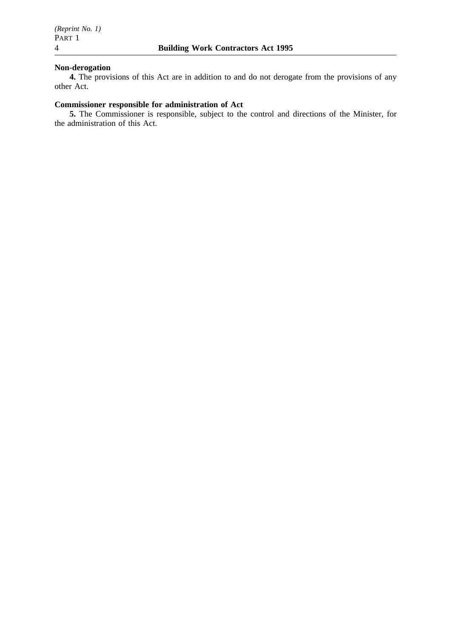# **Non-derogation**

**4.** The provisions of this Act are in addition to and do not derogate from the provisions of any other Act.

# **Commissioner responsible for administration of Act**

**5.** The Commissioner is responsible, subject to the control and directions of the Minister, for the administration of this Act.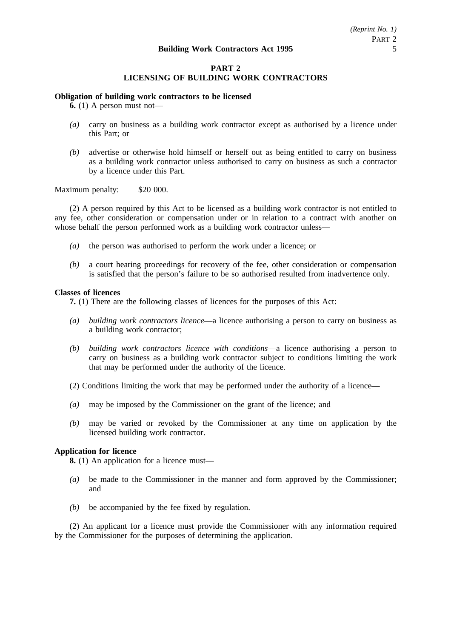# **PART 2 LICENSING OF BUILDING WORK CONTRACTORS**

## **Obligation of building work contractors to be licensed**

**6.** (1) A person must not—

- *(a)* carry on business as a building work contractor except as authorised by a licence under this Part; or
- *(b)* advertise or otherwise hold himself or herself out as being entitled to carry on business as a building work contractor unless authorised to carry on business as such a contractor by a licence under this Part.

## Maximum penalty: \$20 000.

(2) A person required by this Act to be licensed as a building work contractor is not entitled to any fee, other consideration or compensation under or in relation to a contract with another on whose behalf the person performed work as a building work contractor unless—

- *(a)* the person was authorised to perform the work under a licence; or
- *(b)* a court hearing proceedings for recovery of the fee, other consideration or compensation is satisfied that the person's failure to be so authorised resulted from inadvertence only.

## **Classes of licences**

**7.** (1) There are the following classes of licences for the purposes of this Act:

- *(a) building work contractors licence*—a licence authorising a person to carry on business as a building work contractor;
- *(b) building work contractors licence with conditions*—a licence authorising a person to carry on business as a building work contractor subject to conditions limiting the work that may be performed under the authority of the licence.
- (2) Conditions limiting the work that may be performed under the authority of a licence—
- *(a)* may be imposed by the Commissioner on the grant of the licence; and
- *(b)* may be varied or revoked by the Commissioner at any time on application by the licensed building work contractor.

# **Application for licence**

**8.** (1) An application for a licence must—

- *(a)* be made to the Commissioner in the manner and form approved by the Commissioner; and
- *(b)* be accompanied by the fee fixed by regulation.

(2) An applicant for a licence must provide the Commissioner with any information required by the Commissioner for the purposes of determining the application.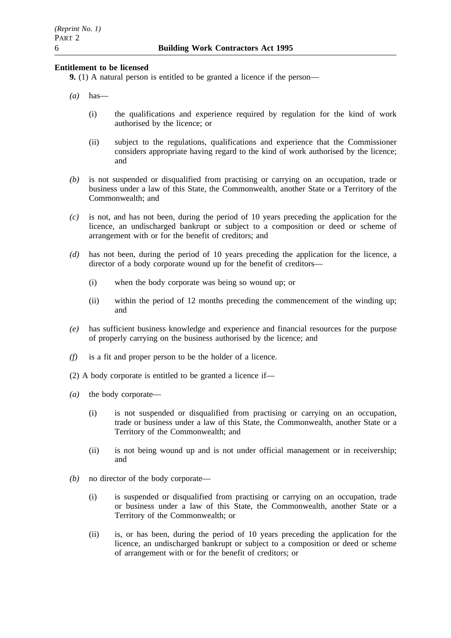# **Entitlement to be licensed**

**9.** (1) A natural person is entitled to be granted a licence if the person—

- *(a)* has—
	- (i) the qualifications and experience required by regulation for the kind of work authorised by the licence; or
	- (ii) subject to the regulations, qualifications and experience that the Commissioner considers appropriate having regard to the kind of work authorised by the licence; and
- *(b)* is not suspended or disqualified from practising or carrying on an occupation, trade or business under a law of this State, the Commonwealth, another State or a Territory of the Commonwealth; and
- *(c)* is not, and has not been, during the period of 10 years preceding the application for the licence, an undischarged bankrupt or subject to a composition or deed or scheme of arrangement with or for the benefit of creditors; and
- *(d)* has not been, during the period of 10 years preceding the application for the licence, a director of a body corporate wound up for the benefit of creditors—
	- (i) when the body corporate was being so wound up; or
	- (ii) within the period of 12 months preceding the commencement of the winding up; and
- *(e)* has sufficient business knowledge and experience and financial resources for the purpose of properly carrying on the business authorised by the licence; and
- *(f)* is a fit and proper person to be the holder of a licence.
- (2) A body corporate is entitled to be granted a licence if—
- *(a)* the body corporate—
	- (i) is not suspended or disqualified from practising or carrying on an occupation, trade or business under a law of this State, the Commonwealth, another State or a Territory of the Commonwealth; and
	- (ii) is not being wound up and is not under official management or in receivership; and
- *(b)* no director of the body corporate—
	- (i) is suspended or disqualified from practising or carrying on an occupation, trade or business under a law of this State, the Commonwealth, another State or a Territory of the Commonwealth; or
	- (ii) is, or has been, during the period of 10 years preceding the application for the licence, an undischarged bankrupt or subject to a composition or deed or scheme of arrangement with or for the benefit of creditors; or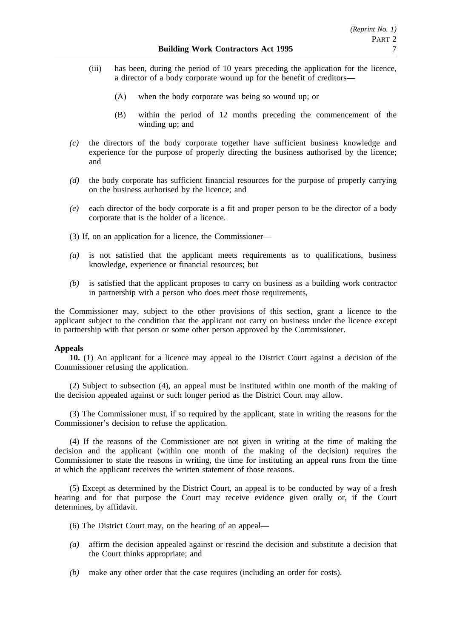- (iii) has been, during the period of 10 years preceding the application for the licence, a director of a body corporate wound up for the benefit of creditors—
	- (A) when the body corporate was being so wound up; or
	- (B) within the period of 12 months preceding the commencement of the winding up; and
- *(c)* the directors of the body corporate together have sufficient business knowledge and experience for the purpose of properly directing the business authorised by the licence; and
- *(d)* the body corporate has sufficient financial resources for the purpose of properly carrying on the business authorised by the licence; and
- *(e)* each director of the body corporate is a fit and proper person to be the director of a body corporate that is the holder of a licence.
- (3) If, on an application for a licence, the Commissioner—
- *(a)* is not satisfied that the applicant meets requirements as to qualifications, business knowledge, experience or financial resources; but
- *(b)* is satisfied that the applicant proposes to carry on business as a building work contractor in partnership with a person who does meet those requirements,

the Commissioner may, subject to the other provisions of this section, grant a licence to the applicant subject to the condition that the applicant not carry on business under the licence except in partnership with that person or some other person approved by the Commissioner.

# **Appeals**

**10.** (1) An applicant for a licence may appeal to the District Court against a decision of the Commissioner refusing the application.

(2) Subject to subsection (4), an appeal must be instituted within one month of the making of the decision appealed against or such longer period as the District Court may allow.

(3) The Commissioner must, if so required by the applicant, state in writing the reasons for the Commissioner's decision to refuse the application.

(4) If the reasons of the Commissioner are not given in writing at the time of making the decision and the applicant (within one month of the making of the decision) requires the Commissioner to state the reasons in writing, the time for instituting an appeal runs from the time at which the applicant receives the written statement of those reasons.

(5) Except as determined by the District Court, an appeal is to be conducted by way of a fresh hearing and for that purpose the Court may receive evidence given orally or, if the Court determines, by affidavit.

- (6) The District Court may, on the hearing of an appeal—
- *(a)* affirm the decision appealed against or rescind the decision and substitute a decision that the Court thinks appropriate; and
- *(b)* make any other order that the case requires (including an order for costs).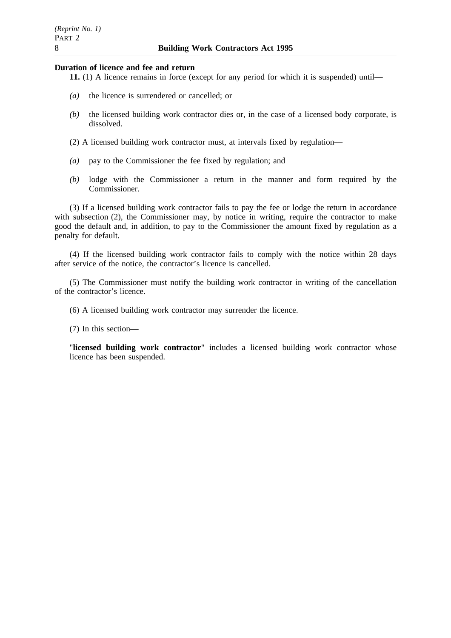# **Duration of licence and fee and return**

- **11.** (1) A licence remains in force (except for any period for which it is suspended) until—
- *(a)* the licence is surrendered or cancelled; or
- *(b)* the licensed building work contractor dies or, in the case of a licensed body corporate, is dissolved.
- (2) A licensed building work contractor must, at intervals fixed by regulation—
- *(a)* pay to the Commissioner the fee fixed by regulation; and
- *(b)* lodge with the Commissioner a return in the manner and form required by the Commissioner.

(3) If a licensed building work contractor fails to pay the fee or lodge the return in accordance with subsection (2), the Commissioner may, by notice in writing, require the contractor to make good the default and, in addition, to pay to the Commissioner the amount fixed by regulation as a penalty for default.

(4) If the licensed building work contractor fails to comply with the notice within 28 days after service of the notice, the contractor's licence is cancelled.

(5) The Commissioner must notify the building work contractor in writing of the cancellation of the contractor's licence.

(6) A licensed building work contractor may surrender the licence.

(7) In this section—

"**licensed building work contractor**" includes a licensed building work contractor whose licence has been suspended.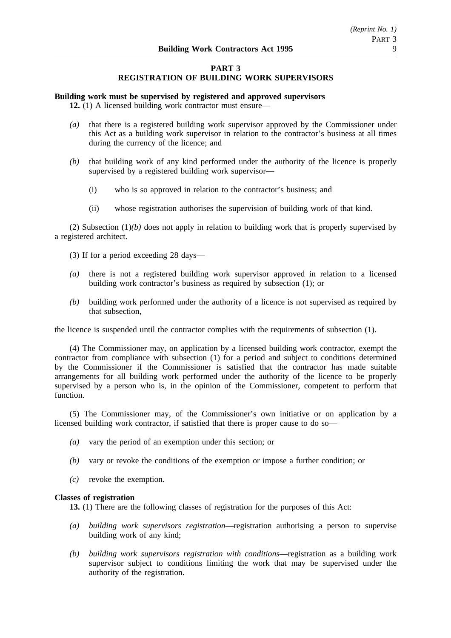# **PART 3 REGISTRATION OF BUILDING WORK SUPERVISORS**

# **Building work must be supervised by registered and approved supervisors**

**12.** (1) A licensed building work contractor must ensure—

- *(a)* that there is a registered building work supervisor approved by the Commissioner under this Act as a building work supervisor in relation to the contractor's business at all times during the currency of the licence; and
- *(b)* that building work of any kind performed under the authority of the licence is properly supervised by a registered building work supervisor—
	- (i) who is so approved in relation to the contractor's business; and
	- (ii) whose registration authorises the supervision of building work of that kind.

(2) Subsection  $(1)(b)$  does not apply in relation to building work that is properly supervised by a registered architect.

- (3) If for a period exceeding 28 days—
- *(a)* there is not a registered building work supervisor approved in relation to a licensed building work contractor's business as required by subsection (1); or
- *(b)* building work performed under the authority of a licence is not supervised as required by that subsection,

the licence is suspended until the contractor complies with the requirements of subsection (1).

(4) The Commissioner may, on application by a licensed building work contractor, exempt the contractor from compliance with subsection (1) for a period and subject to conditions determined by the Commissioner if the Commissioner is satisfied that the contractor has made suitable arrangements for all building work performed under the authority of the licence to be properly supervised by a person who is, in the opinion of the Commissioner, competent to perform that function.

(5) The Commissioner may, of the Commissioner's own initiative or on application by a licensed building work contractor, if satisfied that there is proper cause to do so—

- *(a)* vary the period of an exemption under this section; or
- *(b)* vary or revoke the conditions of the exemption or impose a further condition; or
- *(c)* revoke the exemption.

# **Classes of registration**

**13.** (1) There are the following classes of registration for the purposes of this Act:

- *(a) building work supervisors registration*—registration authorising a person to supervise building work of any kind;
- *(b) building work supervisors registration with conditions*—registration as a building work supervisor subject to conditions limiting the work that may be supervised under the authority of the registration.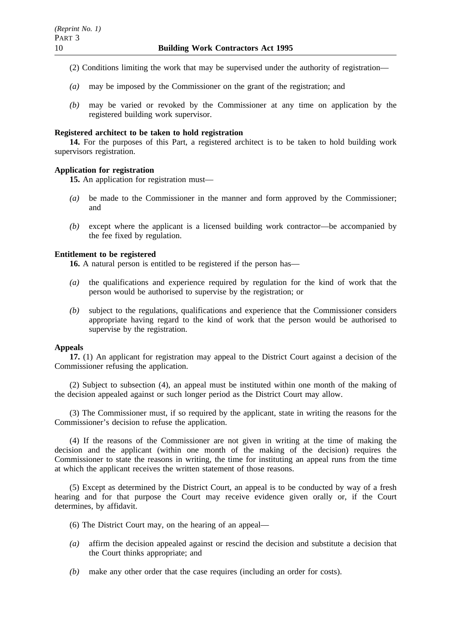- (2) Conditions limiting the work that may be supervised under the authority of registration—
- *(a)* may be imposed by the Commissioner on the grant of the registration; and
- *(b)* may be varied or revoked by the Commissioner at any time on application by the registered building work supervisor.

# **Registered architect to be taken to hold registration**

**14.** For the purposes of this Part, a registered architect is to be taken to hold building work supervisors registration.

# **Application for registration**

**15.** An application for registration must—

- *(a)* be made to the Commissioner in the manner and form approved by the Commissioner; and
- *(b)* except where the applicant is a licensed building work contractor—be accompanied by the fee fixed by regulation.

# **Entitlement to be registered**

**16.** A natural person is entitled to be registered if the person has—

- *(a)* the qualifications and experience required by regulation for the kind of work that the person would be authorised to supervise by the registration; or
- *(b)* subject to the regulations, qualifications and experience that the Commissioner considers appropriate having regard to the kind of work that the person would be authorised to supervise by the registration.

# **Appeals**

**17.** (1) An applicant for registration may appeal to the District Court against a decision of the Commissioner refusing the application.

(2) Subject to subsection (4), an appeal must be instituted within one month of the making of the decision appealed against or such longer period as the District Court may allow.

(3) The Commissioner must, if so required by the applicant, state in writing the reasons for the Commissioner's decision to refuse the application.

(4) If the reasons of the Commissioner are not given in writing at the time of making the decision and the applicant (within one month of the making of the decision) requires the Commissioner to state the reasons in writing, the time for instituting an appeal runs from the time at which the applicant receives the written statement of those reasons.

(5) Except as determined by the District Court, an appeal is to be conducted by way of a fresh hearing and for that purpose the Court may receive evidence given orally or, if the Court determines, by affidavit.

- (6) The District Court may, on the hearing of an appeal—
- *(a)* affirm the decision appealed against or rescind the decision and substitute a decision that the Court thinks appropriate; and
- *(b)* make any other order that the case requires (including an order for costs).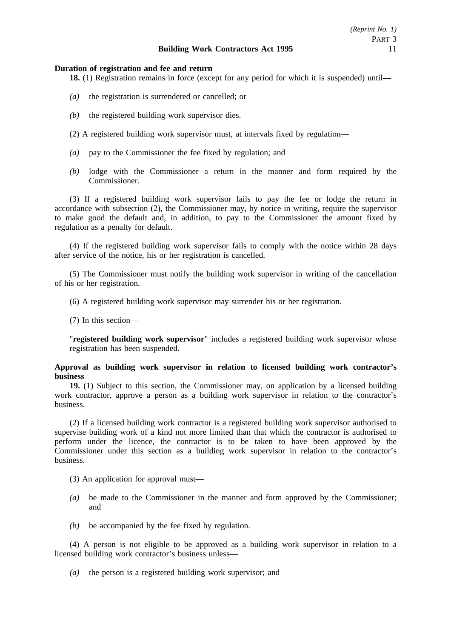## **Duration of registration and fee and return**

**18.** (1) Registration remains in force (except for any period for which it is suspended) until—

- *(a)* the registration is surrendered or cancelled; or
- *(b)* the registered building work supervisor dies.
- (2) A registered building work supervisor must, at intervals fixed by regulation—
- *(a)* pay to the Commissioner the fee fixed by regulation; and
- *(b)* lodge with the Commissioner a return in the manner and form required by the Commissioner.

(3) If a registered building work supervisor fails to pay the fee or lodge the return in accordance with subsection (2), the Commissioner may, by notice in writing, require the supervisor to make good the default and, in addition, to pay to the Commissioner the amount fixed by regulation as a penalty for default.

(4) If the registered building work supervisor fails to comply with the notice within 28 days after service of the notice, his or her registration is cancelled.

(5) The Commissioner must notify the building work supervisor in writing of the cancellation of his or her registration.

(6) A registered building work supervisor may surrender his or her registration.

(7) In this section—

"**registered building work supervisor**" includes a registered building work supervisor whose registration has been suspended.

# **Approval as building work supervisor in relation to licensed building work contractor's business**

**19.** (1) Subject to this section, the Commissioner may, on application by a licensed building work contractor, approve a person as a building work supervisor in relation to the contractor's business.

(2) If a licensed building work contractor is a registered building work supervisor authorised to supervise building work of a kind not more limited than that which the contractor is authorised to perform under the licence, the contractor is to be taken to have been approved by the Commissioner under this section as a building work supervisor in relation to the contractor's business.

(3) An application for approval must—

- *(a)* be made to the Commissioner in the manner and form approved by the Commissioner; and
- *(b)* be accompanied by the fee fixed by regulation.

(4) A person is not eligible to be approved as a building work supervisor in relation to a licensed building work contractor's business unless—

*(a)* the person is a registered building work supervisor; and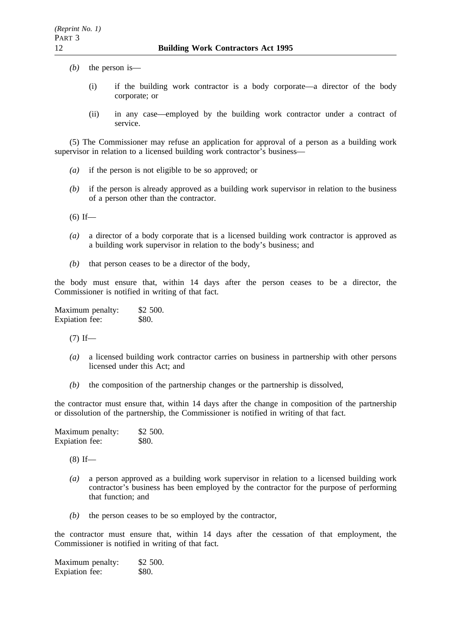- *(b)* the person is—
	- (i) if the building work contractor is a body corporate—a director of the body corporate; or
	- (ii) in any case—employed by the building work contractor under a contract of service.

(5) The Commissioner may refuse an application for approval of a person as a building work supervisor in relation to a licensed building work contractor's business—

- *(a)* if the person is not eligible to be so approved; or
- *(b)* if the person is already approved as a building work supervisor in relation to the business of a person other than the contractor.
- $(6)$  If—
- *(a)* a director of a body corporate that is a licensed building work contractor is approved as a building work supervisor in relation to the body's business; and
- *(b)* that person ceases to be a director of the body,

the body must ensure that, within 14 days after the person ceases to be a director, the Commissioner is notified in writing of that fact.

Maximum penalty: \$2 500. Expiation fee: \$80.

 $(7)$  If—

- *(a)* a licensed building work contractor carries on business in partnership with other persons licensed under this Act; and
- *(b)* the composition of the partnership changes or the partnership is dissolved,

the contractor must ensure that, within 14 days after the change in composition of the partnership or dissolution of the partnership, the Commissioner is notified in writing of that fact.

| Maximum penalty: | \$2 500. |
|------------------|----------|
| Expiation fee:   | \$80.    |

(8) If—

- *(a)* a person approved as a building work supervisor in relation to a licensed building work contractor's business has been employed by the contractor for the purpose of performing that function; and
- *(b)* the person ceases to be so employed by the contractor,

the contractor must ensure that, within 14 days after the cessation of that employment, the Commissioner is notified in writing of that fact.

Maximum penalty: \$2 500. Expiation fee: \$80.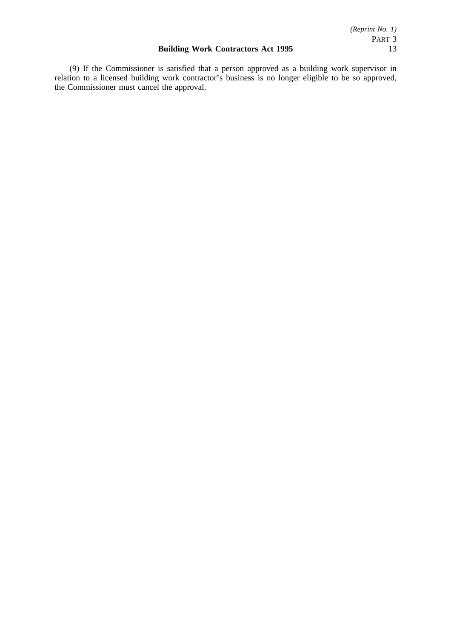(9) If the Commissioner is satisfied that a person approved as a building work supervisor in relation to a licensed building work contractor's business is no longer eligible to be so approved, the Commissioner must cancel the approval.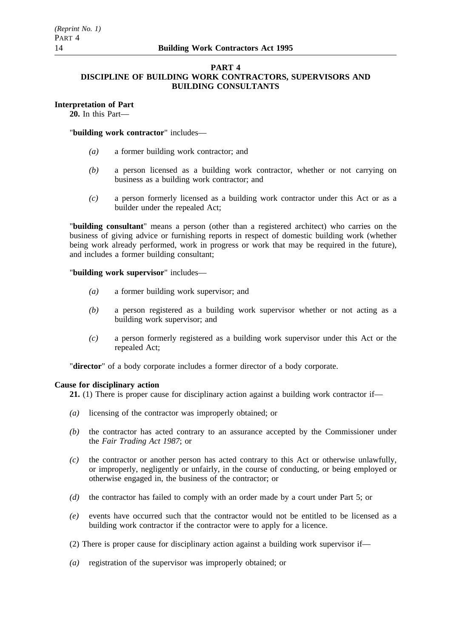# **PART 4**

# **DISCIPLINE OF BUILDING WORK CONTRACTORS, SUPERVISORS AND BUILDING CONSULTANTS**

# **Interpretation of Part**

**20.** In this Part—

# "**building work contractor**" includes—

- *(a)* a former building work contractor; and
- *(b)* a person licensed as a building work contractor, whether or not carrying on business as a building work contractor; and
- *(c)* a person formerly licensed as a building work contractor under this Act or as a builder under the repealed Act;

"**building consultant**" means a person (other than a registered architect) who carries on the business of giving advice or furnishing reports in respect of domestic building work (whether being work already performed, work in progress or work that may be required in the future), and includes a former building consultant;

"**building work supervisor**" includes—

- *(a)* a former building work supervisor; and
- *(b)* a person registered as a building work supervisor whether or not acting as a building work supervisor; and
- *(c)* a person formerly registered as a building work supervisor under this Act or the repealed Act;

"**director**" of a body corporate includes a former director of a body corporate.

# **Cause for disciplinary action**

**21.** (1) There is proper cause for disciplinary action against a building work contractor if—

- *(a)* licensing of the contractor was improperly obtained; or
- *(b)* the contractor has acted contrary to an assurance accepted by the Commissioner under the *Fair Trading Act 1987*; or
- *(c)* the contractor or another person has acted contrary to this Act or otherwise unlawfully, or improperly, negligently or unfairly, in the course of conducting, or being employed or otherwise engaged in, the business of the contractor; or
- *(d)* the contractor has failed to comply with an order made by a court under Part 5; or
- *(e)* events have occurred such that the contractor would not be entitled to be licensed as a building work contractor if the contractor were to apply for a licence.
- (2) There is proper cause for disciplinary action against a building work supervisor if—
- *(a)* registration of the supervisor was improperly obtained; or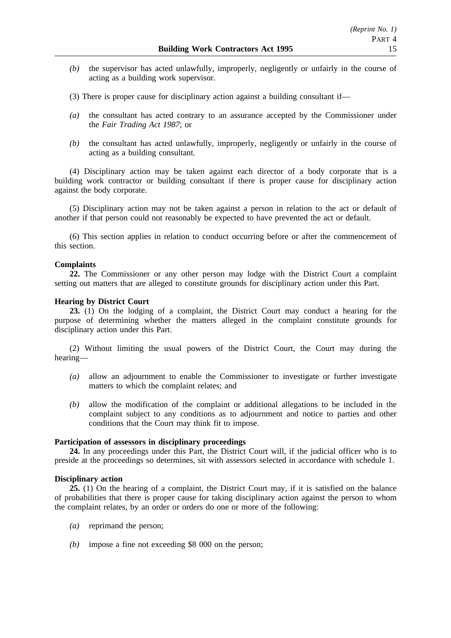- *(b)* the supervisor has acted unlawfully, improperly, negligently or unfairly in the course of acting as a building work supervisor.
- (3) There is proper cause for disciplinary action against a building consultant if—
- *(a)* the consultant has acted contrary to an assurance accepted by the Commissioner under the *Fair Trading Act 1987*; or
- *(b)* the consultant has acted unlawfully, improperly, negligently or unfairly in the course of acting as a building consultant.

(4) Disciplinary action may be taken against each director of a body corporate that is a building work contractor or building consultant if there is proper cause for disciplinary action against the body corporate.

(5) Disciplinary action may not be taken against a person in relation to the act or default of another if that person could not reasonably be expected to have prevented the act or default.

(6) This section applies in relation to conduct occurring before or after the commencement of this section.

# **Complaints**

**22.** The Commissioner or any other person may lodge with the District Court a complaint setting out matters that are alleged to constitute grounds for disciplinary action under this Part.

# **Hearing by District Court**

**23.** (1) On the lodging of a complaint, the District Court may conduct a hearing for the purpose of determining whether the matters alleged in the complaint constitute grounds for disciplinary action under this Part.

(2) Without limiting the usual powers of the District Court, the Court may during the hearing—

- *(a)* allow an adjournment to enable the Commissioner to investigate or further investigate matters to which the complaint relates; and
- *(b)* allow the modification of the complaint or additional allegations to be included in the complaint subject to any conditions as to adjournment and notice to parties and other conditions that the Court may think fit to impose.

# **Participation of assessors in disciplinary proceedings**

**24.** In any proceedings under this Part, the District Court will, if the judicial officer who is to preside at the proceedings so determines, sit with assessors selected in accordance with schedule 1.

# **Disciplinary action**

**25.** (1) On the hearing of a complaint, the District Court may, if it is satisfied on the balance of probabilities that there is proper cause for taking disciplinary action against the person to whom the complaint relates, by an order or orders do one or more of the following:

- *(a)* reprimand the person;
- *(b)* impose a fine not exceeding \$8 000 on the person;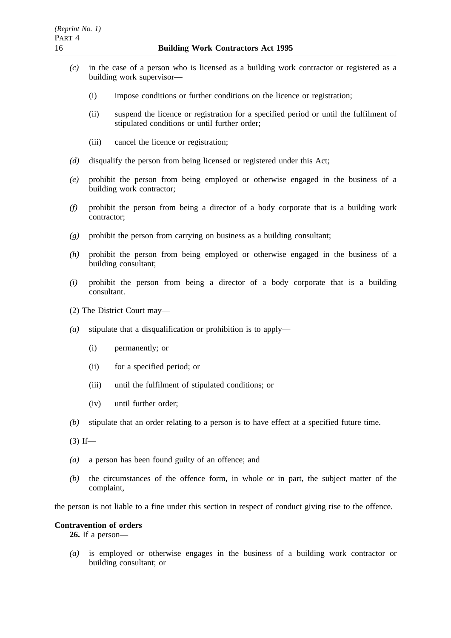- *(c)* in the case of a person who is licensed as a building work contractor or registered as a building work supervisor—
	- (i) impose conditions or further conditions on the licence or registration;
	- (ii) suspend the licence or registration for a specified period or until the fulfilment of stipulated conditions or until further order;
	- (iii) cancel the licence or registration;
- *(d)* disqualify the person from being licensed or registered under this Act;
- *(e)* prohibit the person from being employed or otherwise engaged in the business of a building work contractor;
- *(f)* prohibit the person from being a director of a body corporate that is a building work contractor;
- *(g)* prohibit the person from carrying on business as a building consultant;
- *(h)* prohibit the person from being employed or otherwise engaged in the business of a building consultant;
- *(i)* prohibit the person from being a director of a body corporate that is a building consultant.
- (2) The District Court may—
- *(a)* stipulate that a disqualification or prohibition is to apply—
	- (i) permanently; or
	- (ii) for a specified period; or
	- (iii) until the fulfilment of stipulated conditions; or
	- (iv) until further order;
- *(b)* stipulate that an order relating to a person is to have effect at a specified future time.
- $(3)$  If—
- *(a)* a person has been found guilty of an offence; and
- *(b)* the circumstances of the offence form, in whole or in part, the subject matter of the complaint,

the person is not liable to a fine under this section in respect of conduct giving rise to the offence.

# **Contravention of orders**

**26.** If a person—

*(a)* is employed or otherwise engages in the business of a building work contractor or building consultant; or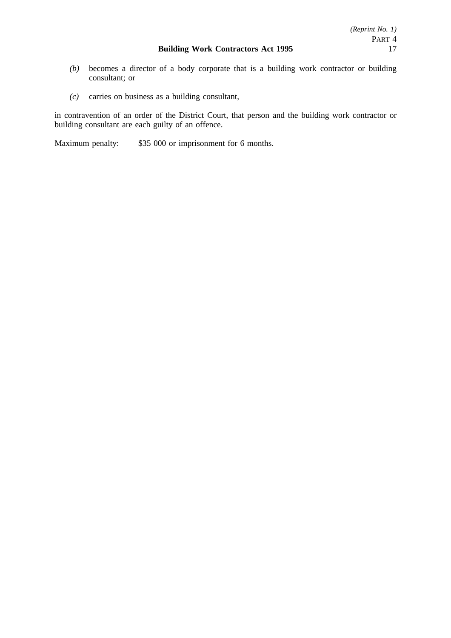- *(b)* becomes a director of a body corporate that is a building work contractor or building consultant; or
- *(c)* carries on business as a building consultant,

in contravention of an order of the District Court, that person and the building work contractor or building consultant are each guilty of an offence.

Maximum penalty: \$35 000 or imprisonment for 6 months.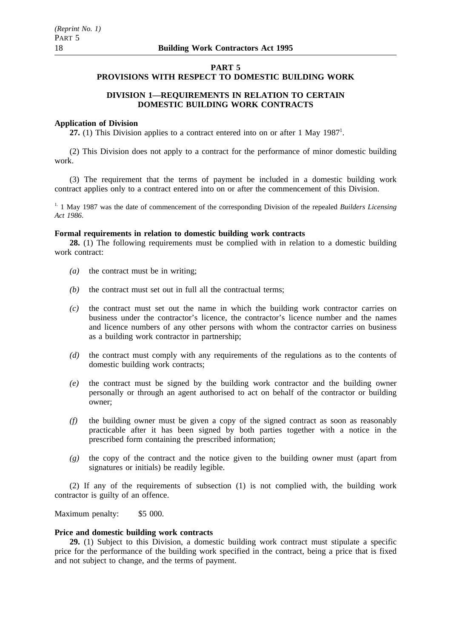# **PART 5**

# **PROVISIONS WITH RESPECT TO DOMESTIC BUILDING WORK**

# **DIVISION 1—REQUIREMENTS IN RELATION TO CERTAIN DOMESTIC BUILDING WORK CONTRACTS**

## **Application of Division**

27. (1) This Division applies to a contract entered into on or after 1 May 1987<sup>1</sup>.

(2) This Division does not apply to a contract for the performance of minor domestic building work.

(3) The requirement that the terms of payment be included in a domestic building work contract applies only to a contract entered into on or after the commencement of this Division.

<sup>1.</sup> 1 May 1987 was the date of commencement of the corresponding Division of the repealed *Builders Licensing Act 1986*.

## **Formal requirements in relation to domestic building work contracts**

**28.** (1) The following requirements must be complied with in relation to a domestic building work contract:

- *(a)* the contract must be in writing;
- *(b)* the contract must set out in full all the contractual terms;
- *(c)* the contract must set out the name in which the building work contractor carries on business under the contractor's licence, the contractor's licence number and the names and licence numbers of any other persons with whom the contractor carries on business as a building work contractor in partnership;
- *(d)* the contract must comply with any requirements of the regulations as to the contents of domestic building work contracts;
- *(e)* the contract must be signed by the building work contractor and the building owner personally or through an agent authorised to act on behalf of the contractor or building owner;
- *(f)* the building owner must be given a copy of the signed contract as soon as reasonably practicable after it has been signed by both parties together with a notice in the prescribed form containing the prescribed information;
- *(g)* the copy of the contract and the notice given to the building owner must (apart from signatures or initials) be readily legible.

(2) If any of the requirements of subsection (1) is not complied with, the building work contractor is guilty of an offence.

Maximum penalty: \$5 000.

#### **Price and domestic building work contracts**

**29.** (1) Subject to this Division, a domestic building work contract must stipulate a specific price for the performance of the building work specified in the contract, being a price that is fixed and not subject to change, and the terms of payment.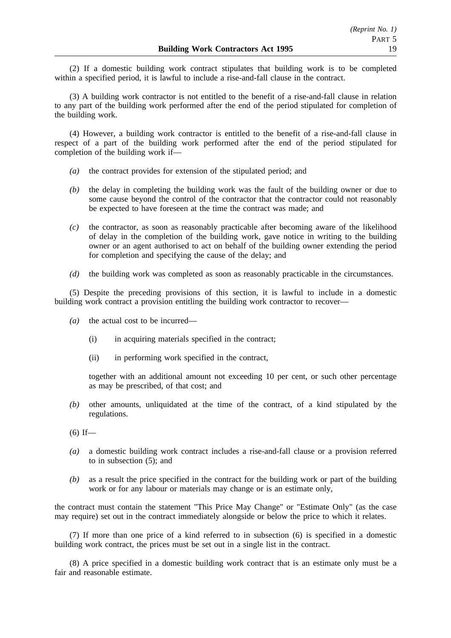(2) If a domestic building work contract stipulates that building work is to be completed within a specified period, it is lawful to include a rise-and-fall clause in the contract.

(3) A building work contractor is not entitled to the benefit of a rise-and-fall clause in relation to any part of the building work performed after the end of the period stipulated for completion of the building work.

(4) However, a building work contractor is entitled to the benefit of a rise-and-fall clause in respect of a part of the building work performed after the end of the period stipulated for completion of the building work if—

- *(a)* the contract provides for extension of the stipulated period; and
- *(b)* the delay in completing the building work was the fault of the building owner or due to some cause beyond the control of the contractor that the contractor could not reasonably be expected to have foreseen at the time the contract was made; and
- *(c)* the contractor, as soon as reasonably practicable after becoming aware of the likelihood of delay in the completion of the building work, gave notice in writing to the building owner or an agent authorised to act on behalf of the building owner extending the period for completion and specifying the cause of the delay; and
- *(d)* the building work was completed as soon as reasonably practicable in the circumstances.

(5) Despite the preceding provisions of this section, it is lawful to include in a domestic building work contract a provision entitling the building work contractor to recover—

- *(a)* the actual cost to be incurred—
	- (i) in acquiring materials specified in the contract;
	- (ii) in performing work specified in the contract,

together with an additional amount not exceeding 10 per cent, or such other percentage as may be prescribed, of that cost; and

*(b)* other amounts, unliquidated at the time of the contract, of a kind stipulated by the regulations.

- *(a)* a domestic building work contract includes a rise-and-fall clause or a provision referred to in subsection (5); and
- *(b)* as a result the price specified in the contract for the building work or part of the building work or for any labour or materials may change or is an estimate only,

the contract must contain the statement "This Price May Change" or "Estimate Only" (as the case may require) set out in the contract immediately alongside or below the price to which it relates.

(7) If more than one price of a kind referred to in subsection (6) is specified in a domestic building work contract, the prices must be set out in a single list in the contract.

(8) A price specified in a domestic building work contract that is an estimate only must be a fair and reasonable estimate.

 $(6)$  If—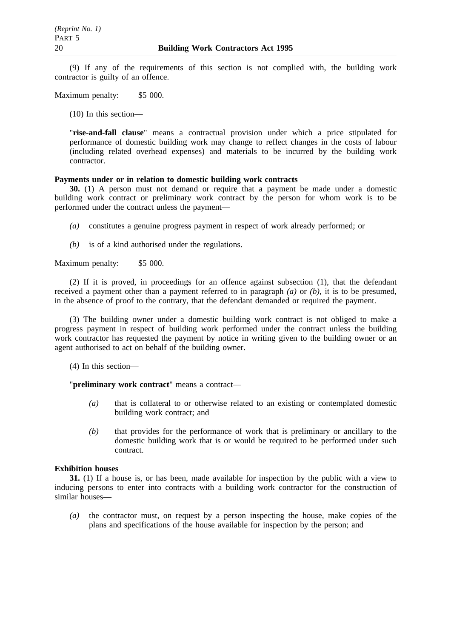(9) If any of the requirements of this section is not complied with, the building work contractor is guilty of an offence.

Maximum penalty: \$5 000.

(10) In this section—

"**rise-and-fall clause**" means a contractual provision under which a price stipulated for performance of domestic building work may change to reflect changes in the costs of labour (including related overhead expenses) and materials to be incurred by the building work contractor.

# **Payments under or in relation to domestic building work contracts**

**30.** (1) A person must not demand or require that a payment be made under a domestic building work contract or preliminary work contract by the person for whom work is to be performed under the contract unless the payment—

- *(a)* constitutes a genuine progress payment in respect of work already performed; or
- *(b)* is of a kind authorised under the regulations.

Maximum penalty: \$5 000.

(2) If it is proved, in proceedings for an offence against subsection (1), that the defendant received a payment other than a payment referred to in paragraph *(a)* or *(b)*, it is to be presumed, in the absence of proof to the contrary, that the defendant demanded or required the payment.

(3) The building owner under a domestic building work contract is not obliged to make a progress payment in respect of building work performed under the contract unless the building work contractor has requested the payment by notice in writing given to the building owner or an agent authorised to act on behalf of the building owner.

(4) In this section—

"**preliminary work contract**" means a contract—

- *(a)* that is collateral to or otherwise related to an existing or contemplated domestic building work contract; and
- *(b)* that provides for the performance of work that is preliminary or ancillary to the domestic building work that is or would be required to be performed under such contract.

# **Exhibition houses**

**31.** (1) If a house is, or has been, made available for inspection by the public with a view to inducing persons to enter into contracts with a building work contractor for the construction of similar houses—

*(a)* the contractor must, on request by a person inspecting the house, make copies of the plans and specifications of the house available for inspection by the person; and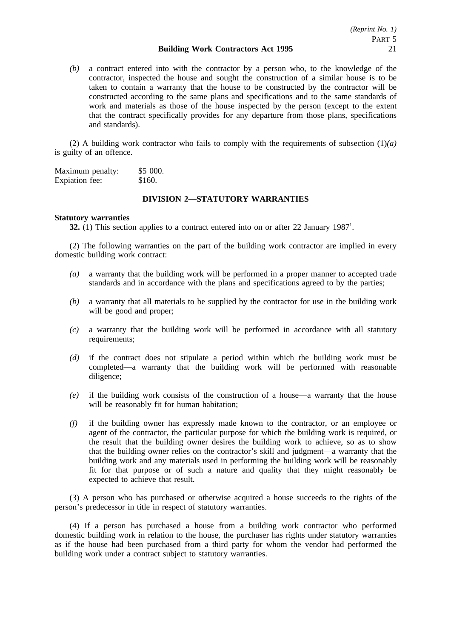*(b)* a contract entered into with the contractor by a person who, to the knowledge of the contractor, inspected the house and sought the construction of a similar house is to be taken to contain a warranty that the house to be constructed by the contractor will be constructed according to the same plans and specifications and to the same standards of work and materials as those of the house inspected by the person (except to the extent that the contract specifically provides for any departure from those plans, specifications and standards).

(2) A building work contractor who fails to comply with the requirements of subsection (1)*(a)* is guilty of an offence.

Maximum penalty: \$5 000. Expiation fee: \$160.

# **DIVISION 2—STATUTORY WARRANTIES**

## **Statutory warranties**

**32.** (1) This section applies to a contract entered into on or after 22 January 1987<sup>1</sup>.

(2) The following warranties on the part of the building work contractor are implied in every domestic building work contract:

- *(a)* a warranty that the building work will be performed in a proper manner to accepted trade standards and in accordance with the plans and specifications agreed to by the parties;
- *(b)* a warranty that all materials to be supplied by the contractor for use in the building work will be good and proper;
- *(c)* a warranty that the building work will be performed in accordance with all statutory requirements;
- *(d)* if the contract does not stipulate a period within which the building work must be completed—a warranty that the building work will be performed with reasonable diligence;
- *(e)* if the building work consists of the construction of a house—a warranty that the house will be reasonably fit for human habitation;
- *(f)* if the building owner has expressly made known to the contractor, or an employee or agent of the contractor, the particular purpose for which the building work is required, or the result that the building owner desires the building work to achieve, so as to show that the building owner relies on the contractor's skill and judgment—a warranty that the building work and any materials used in performing the building work will be reasonably fit for that purpose or of such a nature and quality that they might reasonably be expected to achieve that result.

(3) A person who has purchased or otherwise acquired a house succeeds to the rights of the person's predecessor in title in respect of statutory warranties.

(4) If a person has purchased a house from a building work contractor who performed domestic building work in relation to the house, the purchaser has rights under statutory warranties as if the house had been purchased from a third party for whom the vendor had performed the building work under a contract subject to statutory warranties.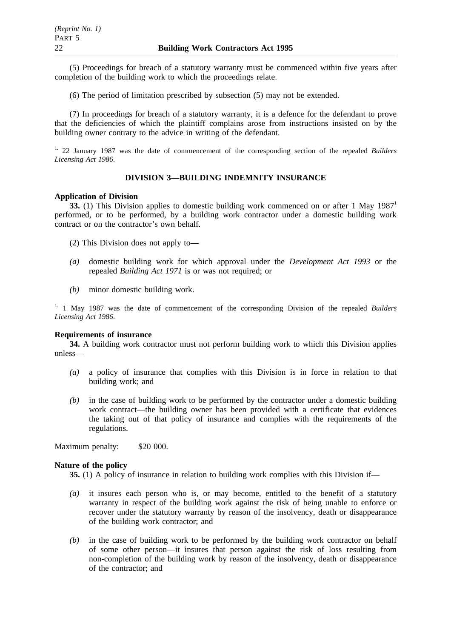(5) Proceedings for breach of a statutory warranty must be commenced within five years after completion of the building work to which the proceedings relate.

(6) The period of limitation prescribed by subsection (5) may not be extended.

(7) In proceedings for breach of a statutory warranty, it is a defence for the defendant to prove that the deficiencies of which the plaintiff complains arose from instructions insisted on by the building owner contrary to the advice in writing of the defendant.

1. 22 January 1987 was the date of commencement of the corresponding section of the repealed *Builders Licensing Act 1986*.

# **DIVISION 3—BUILDING INDEMNITY INSURANCE**

# **Application of Division**

**33.** (1) This Division applies to domestic building work commenced on or after 1 May 1987<sup>1</sup> performed, or to be performed, by a building work contractor under a domestic building work contract or on the contractor's own behalf.

(2) This Division does not apply to—

- *(a)* domestic building work for which approval under the *Development Act 1993* or the repealed *Building Act 1971* is or was not required; or
- *(b)* minor domestic building work.

1. 1 May 1987 was the date of commencement of the corresponding Division of the repealed *Builders Licensing Act 1986*.

## **Requirements of insurance**

**34.** A building work contractor must not perform building work to which this Division applies unless—

- *(a)* a policy of insurance that complies with this Division is in force in relation to that building work; and
- *(b)* in the case of building work to be performed by the contractor under a domestic building work contract—the building owner has been provided with a certificate that evidences the taking out of that policy of insurance and complies with the requirements of the regulations.

Maximum penalty: \$20 000.

#### **Nature of the policy**

**35.** (1) A policy of insurance in relation to building work complies with this Division if—

- *(a)* it insures each person who is, or may become, entitled to the benefit of a statutory warranty in respect of the building work against the risk of being unable to enforce or recover under the statutory warranty by reason of the insolvency, death or disappearance of the building work contractor; and
- *(b)* in the case of building work to be performed by the building work contractor on behalf of some other person—it insures that person against the risk of loss resulting from non-completion of the building work by reason of the insolvency, death or disappearance of the contractor; and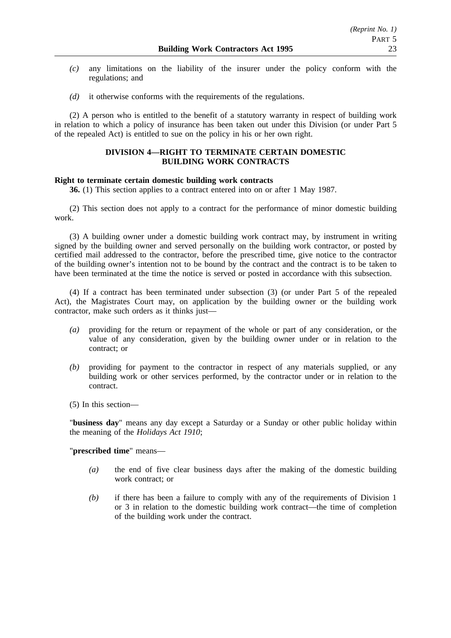- *(c)* any limitations on the liability of the insurer under the policy conform with the regulations; and
- *(d)* it otherwise conforms with the requirements of the regulations.

(2) A person who is entitled to the benefit of a statutory warranty in respect of building work in relation to which a policy of insurance has been taken out under this Division (or under Part 5 of the repealed Act) is entitled to sue on the policy in his or her own right.

# **DIVISION 4—RIGHT TO TERMINATE CERTAIN DOMESTIC BUILDING WORK CONTRACTS**

# **Right to terminate certain domestic building work contracts**

**36.** (1) This section applies to a contract entered into on or after 1 May 1987.

(2) This section does not apply to a contract for the performance of minor domestic building work.

(3) A building owner under a domestic building work contract may, by instrument in writing signed by the building owner and served personally on the building work contractor, or posted by certified mail addressed to the contractor, before the prescribed time, give notice to the contractor of the building owner's intention not to be bound by the contract and the contract is to be taken to have been terminated at the time the notice is served or posted in accordance with this subsection.

(4) If a contract has been terminated under subsection (3) (or under Part 5 of the repealed Act), the Magistrates Court may, on application by the building owner or the building work contractor, make such orders as it thinks just—

- *(a)* providing for the return or repayment of the whole or part of any consideration, or the value of any consideration, given by the building owner under or in relation to the contract; or
- *(b)* providing for payment to the contractor in respect of any materials supplied, or any building work or other services performed, by the contractor under or in relation to the contract.
- (5) In this section—

"**business day**" means any day except a Saturday or a Sunday or other public holiday within the meaning of the *Holidays Act 1910*;

# "**prescribed time**" means—

- *(a)* the end of five clear business days after the making of the domestic building work contract; or
- *(b)* if there has been a failure to comply with any of the requirements of Division 1 or 3 in relation to the domestic building work contract—the time of completion of the building work under the contract.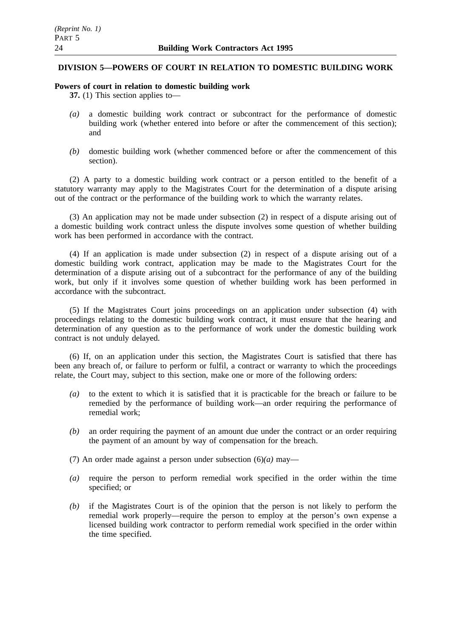# **DIVISION 5—POWERS OF COURT IN RELATION TO DOMESTIC BUILDING WORK**

## **Powers of court in relation to domestic building work**

**37.** (1) This section applies to—

- *(a)* a domestic building work contract or subcontract for the performance of domestic building work (whether entered into before or after the commencement of this section); and
- *(b)* domestic building work (whether commenced before or after the commencement of this section).

(2) A party to a domestic building work contract or a person entitled to the benefit of a statutory warranty may apply to the Magistrates Court for the determination of a dispute arising out of the contract or the performance of the building work to which the warranty relates.

(3) An application may not be made under subsection (2) in respect of a dispute arising out of a domestic building work contract unless the dispute involves some question of whether building work has been performed in accordance with the contract.

(4) If an application is made under subsection (2) in respect of a dispute arising out of a domestic building work contract, application may be made to the Magistrates Court for the determination of a dispute arising out of a subcontract for the performance of any of the building work, but only if it involves some question of whether building work has been performed in accordance with the subcontract.

(5) If the Magistrates Court joins proceedings on an application under subsection (4) with proceedings relating to the domestic building work contract, it must ensure that the hearing and determination of any question as to the performance of work under the domestic building work contract is not unduly delayed.

(6) If, on an application under this section, the Magistrates Court is satisfied that there has been any breach of, or failure to perform or fulfil, a contract or warranty to which the proceedings relate, the Court may, subject to this section, make one or more of the following orders:

- *(a)* to the extent to which it is satisfied that it is practicable for the breach or failure to be remedied by the performance of building work—an order requiring the performance of remedial work;
- *(b)* an order requiring the payment of an amount due under the contract or an order requiring the payment of an amount by way of compensation for the breach.
- (7) An order made against a person under subsection (6)*(a)* may—
- *(a)* require the person to perform remedial work specified in the order within the time specified; or
- *(b)* if the Magistrates Court is of the opinion that the person is not likely to perform the remedial work properly—require the person to employ at the person's own expense a licensed building work contractor to perform remedial work specified in the order within the time specified.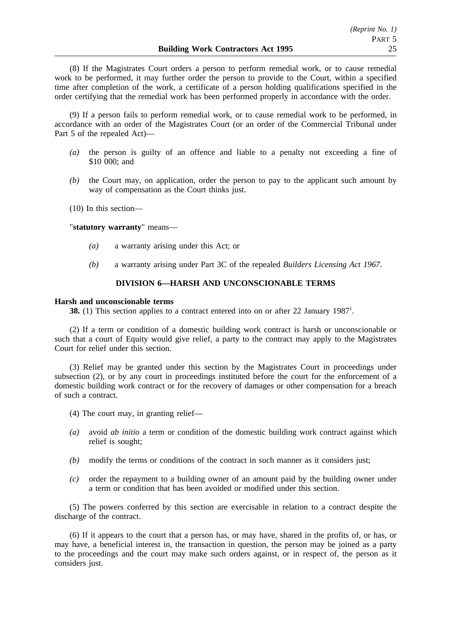(8) If the Magistrates Court orders a person to perform remedial work, or to cause remedial work to be performed, it may further order the person to provide to the Court, within a specified time after completion of the work, a certificate of a person holding qualifications specified in the order certifying that the remedial work has been performed properly in accordance with the order.

(9) If a person fails to perform remedial work, or to cause remedial work to be performed, in accordance with an order of the Magistrates Court (or an order of the Commercial Tribunal under Part 5 of the repealed Act)—

- *(a)* the person is guilty of an offence and liable to a penalty not exceeding a fine of \$10 000; and
- *(b)* the Court may, on application, order the person to pay to the applicant such amount by way of compensation as the Court thinks just.
- (10) In this section—

"**statutory warranty**" means—

- *(a)* a warranty arising under this Act; or
- *(b)* a warranty arising under Part 3C of the repealed *Builders Licensing Act 1967*.

# **DIVISION 6—HARSH AND UNCONSCIONABLE TERMS**

#### **Harsh and unconscionable terms**

**38.** (1) This section applies to a contract entered into on or after 22 January 1987<sup>1</sup>.

(2) If a term or condition of a domestic building work contract is harsh or unconscionable or such that a court of Equity would give relief, a party to the contract may apply to the Magistrates Court for relief under this section.

(3) Relief may be granted under this section by the Magistrates Court in proceedings under subsection (2), or by any court in proceedings instituted before the court for the enforcement of a domestic building work contract or for the recovery of damages or other compensation for a breach of such a contract.

- (4) The court may, in granting relief—
- *(a)* avoid *ab initio* a term or condition of the domestic building work contract against which relief is sought;
- *(b)* modify the terms or conditions of the contract in such manner as it considers just;
- *(c)* order the repayment to a building owner of an amount paid by the building owner under a term or condition that has been avoided or modified under this section.

(5) The powers conferred by this section are exercisable in relation to a contract despite the discharge of the contract.

(6) If it appears to the court that a person has, or may have, shared in the profits of, or has, or may have, a beneficial interest in, the transaction in question, the person may be joined as a party to the proceedings and the court may make such orders against, or in respect of, the person as it considers just.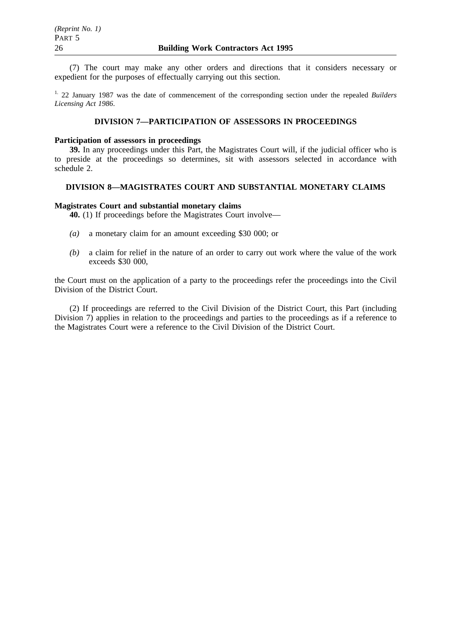(7) The court may make any other orders and directions that it considers necessary or expedient for the purposes of effectually carrying out this section.

1. 22 January 1987 was the date of commencement of the corresponding section under the repealed *Builders Licensing Act 1986*.

# **DIVISION 7—PARTICIPATION OF ASSESSORS IN PROCEEDINGS**

# **Participation of assessors in proceedings**

**39.** In any proceedings under this Part, the Magistrates Court will, if the judicial officer who is to preside at the proceedings so determines, sit with assessors selected in accordance with schedule 2.

# **DIVISION 8—MAGISTRATES COURT AND SUBSTANTIAL MONETARY CLAIMS**

# **Magistrates Court and substantial monetary claims**

**40.** (1) If proceedings before the Magistrates Court involve—

- *(a)* a monetary claim for an amount exceeding \$30 000; or
- *(b)* a claim for relief in the nature of an order to carry out work where the value of the work exceeds \$30 000,

the Court must on the application of a party to the proceedings refer the proceedings into the Civil Division of the District Court.

(2) If proceedings are referred to the Civil Division of the District Court, this Part (including Division 7) applies in relation to the proceedings and parties to the proceedings as if a reference to the Magistrates Court were a reference to the Civil Division of the District Court.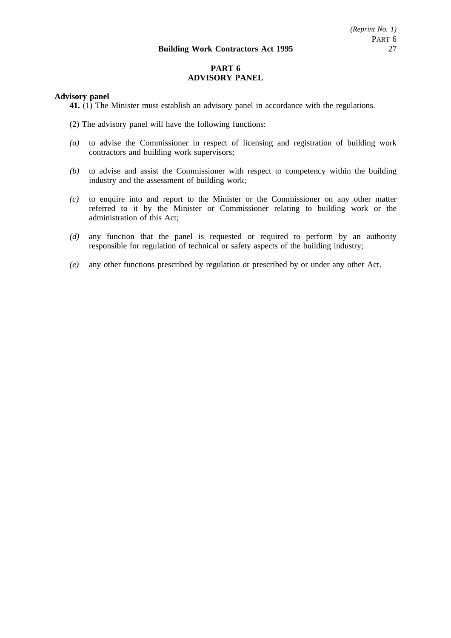# **PART 6 ADVISORY PANEL**

# **Advisory panel**

**41.** (1) The Minister must establish an advisory panel in accordance with the regulations.

- (2) The advisory panel will have the following functions:
- *(a)* to advise the Commissioner in respect of licensing and registration of building work contractors and building work supervisors;
- *(b)* to advise and assist the Commissioner with respect to competency within the building industry and the assessment of building work;
- *(c)* to enquire into and report to the Minister or the Commissioner on any other matter referred to it by the Minister or Commissioner relating to building work or the administration of this Act;
- *(d)* any function that the panel is requested or required to perform by an authority responsible for regulation of technical or safety aspects of the building industry;
- *(e)* any other functions prescribed by regulation or prescribed by or under any other Act.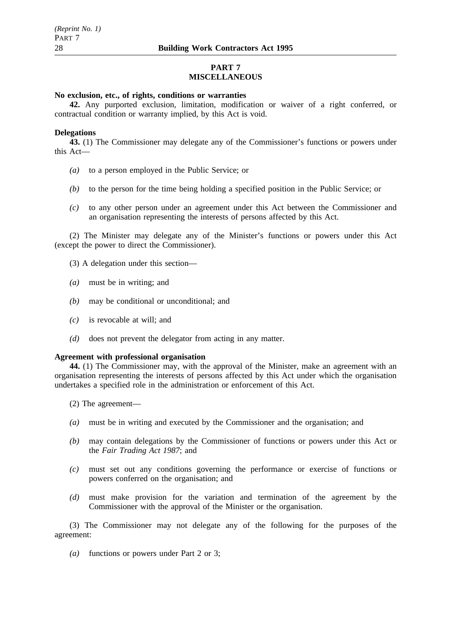# **PART 7 MISCELLANEOUS**

# **No exclusion, etc., of rights, conditions or warranties**

**42.** Any purported exclusion, limitation, modification or waiver of a right conferred, or contractual condition or warranty implied, by this Act is void.

## **Delegations**

**43.** (1) The Commissioner may delegate any of the Commissioner's functions or powers under this Act—

- *(a)* to a person employed in the Public Service; or
- *(b)* to the person for the time being holding a specified position in the Public Service; or
- *(c)* to any other person under an agreement under this Act between the Commissioner and an organisation representing the interests of persons affected by this Act.

(2) The Minister may delegate any of the Minister's functions or powers under this Act (except the power to direct the Commissioner).

- (3) A delegation under this section—
- *(a)* must be in writing; and
- *(b)* may be conditional or unconditional; and
- *(c)* is revocable at will; and
- *(d)* does not prevent the delegator from acting in any matter.

#### **Agreement with professional organisation**

**44.** (1) The Commissioner may, with the approval of the Minister, make an agreement with an organisation representing the interests of persons affected by this Act under which the organisation undertakes a specified role in the administration or enforcement of this Act.

- (2) The agreement—
- *(a)* must be in writing and executed by the Commissioner and the organisation; and
- *(b)* may contain delegations by the Commissioner of functions or powers under this Act or the *Fair Trading Act 1987*; and
- *(c)* must set out any conditions governing the performance or exercise of functions or powers conferred on the organisation; and
- *(d)* must make provision for the variation and termination of the agreement by the Commissioner with the approval of the Minister or the organisation.

(3) The Commissioner may not delegate any of the following for the purposes of the agreement:

*(a)* functions or powers under Part 2 or 3;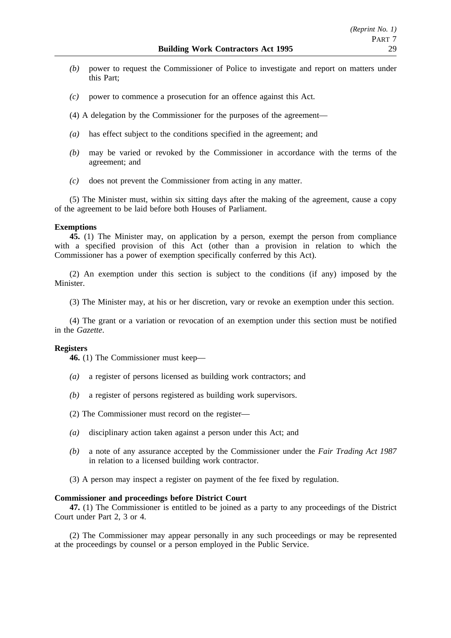- *(b)* power to request the Commissioner of Police to investigate and report on matters under this Part;
- *(c)* power to commence a prosecution for an offence against this Act.
- (4) A delegation by the Commissioner for the purposes of the agreement—
- *(a)* has effect subject to the conditions specified in the agreement; and
- *(b)* may be varied or revoked by the Commissioner in accordance with the terms of the agreement; and
- *(c)* does not prevent the Commissioner from acting in any matter.

(5) The Minister must, within six sitting days after the making of the agreement, cause a copy of the agreement to be laid before both Houses of Parliament.

## **Exemptions**

**45.** (1) The Minister may, on application by a person, exempt the person from compliance with a specified provision of this Act (other than a provision in relation to which the Commissioner has a power of exemption specifically conferred by this Act).

(2) An exemption under this section is subject to the conditions (if any) imposed by the Minister.

(3) The Minister may, at his or her discretion, vary or revoke an exemption under this section.

(4) The grant or a variation or revocation of an exemption under this section must be notified in the *Gazette*.

#### **Registers**

**46.** (1) The Commissioner must keep—

- *(a)* a register of persons licensed as building work contractors; and
- *(b)* a register of persons registered as building work supervisors.
- (2) The Commissioner must record on the register—
- *(a)* disciplinary action taken against a person under this Act; and
- *(b)* a note of any assurance accepted by the Commissioner under the *Fair Trading Act 1987* in relation to a licensed building work contractor.
- (3) A person may inspect a register on payment of the fee fixed by regulation.

## **Commissioner and proceedings before District Court**

**47.** (1) The Commissioner is entitled to be joined as a party to any proceedings of the District Court under Part 2, 3 or 4.

(2) The Commissioner may appear personally in any such proceedings or may be represented at the proceedings by counsel or a person employed in the Public Service.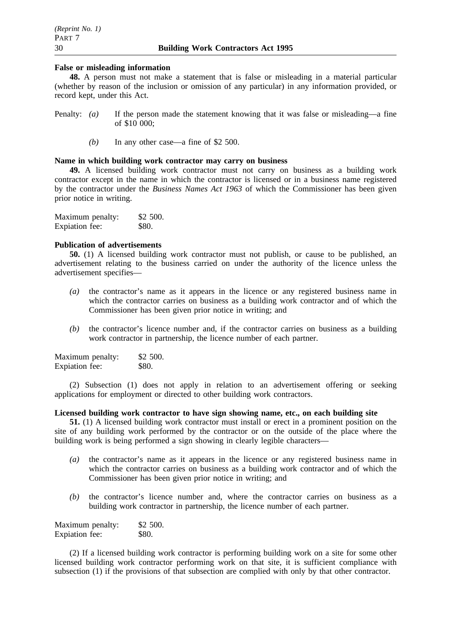# **False or misleading information**

**48.** A person must not make a statement that is false or misleading in a material particular (whether by reason of the inclusion or omission of any particular) in any information provided, or record kept, under this Act.

- Penalty: *(a)* If the person made the statement knowing that it was false or misleading—a fine of \$10 000;
	- *(b)* In any other case—a fine of \$2 500.

# **Name in which building work contractor may carry on business**

**49.** A licensed building work contractor must not carry on business as a building work contractor except in the name in which the contractor is licensed or in a business name registered by the contractor under the *Business Names Act 1963* of which the Commissioner has been given prior notice in writing.

| Maximum penalty: | \$2 500.     |
|------------------|--------------|
| Expiation fee:   | <b>\$80.</b> |

# **Publication of advertisements**

**50.** (1) A licensed building work contractor must not publish, or cause to be published, an advertisement relating to the business carried on under the authority of the licence unless the advertisement specifies—

- *(a)* the contractor's name as it appears in the licence or any registered business name in which the contractor carries on business as a building work contractor and of which the Commissioner has been given prior notice in writing; and
- *(b)* the contractor's licence number and, if the contractor carries on business as a building work contractor in partnership, the licence number of each partner.

| Maximum penalty: | \$2,500. |
|------------------|----------|
| Expiation fee:   | \$80.    |

(2) Subsection (1) does not apply in relation to an advertisement offering or seeking applications for employment or directed to other building work contractors.

# **Licensed building work contractor to have sign showing name, etc., on each building site**

**51.** (1) A licensed building work contractor must install or erect in a prominent position on the site of any building work performed by the contractor or on the outside of the place where the building work is being performed a sign showing in clearly legible characters—

- *(a)* the contractor's name as it appears in the licence or any registered business name in which the contractor carries on business as a building work contractor and of which the Commissioner has been given prior notice in writing; and
- *(b)* the contractor's licence number and, where the contractor carries on business as a building work contractor in partnership, the licence number of each partner.

| Maximum penalty: | \$2 500. |
|------------------|----------|
| Expiation fee:   | \$80.    |

(2) If a licensed building work contractor is performing building work on a site for some other licensed building work contractor performing work on that site, it is sufficient compliance with subsection (1) if the provisions of that subsection are complied with only by that other contractor.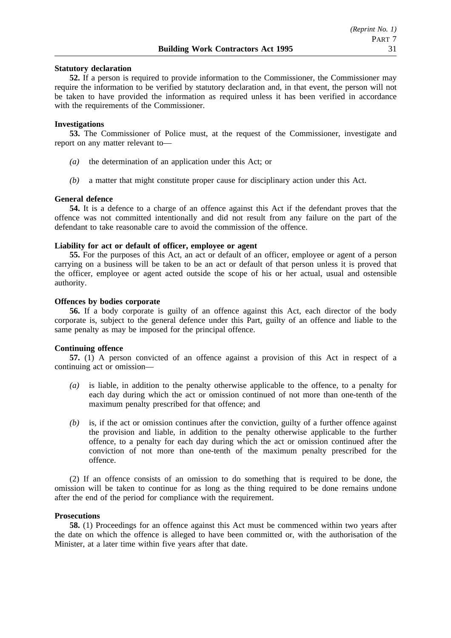## **Statutory declaration**

**52.** If a person is required to provide information to the Commissioner, the Commissioner may require the information to be verified by statutory declaration and, in that event, the person will not be taken to have provided the information as required unless it has been verified in accordance with the requirements of the Commissioner.

## **Investigations**

**53.** The Commissioner of Police must, at the request of the Commissioner, investigate and report on any matter relevant to—

- *(a)* the determination of an application under this Act; or
- *(b)* a matter that might constitute proper cause for disciplinary action under this Act.

## **General defence**

**54.** It is a defence to a charge of an offence against this Act if the defendant proves that the offence was not committed intentionally and did not result from any failure on the part of the defendant to take reasonable care to avoid the commission of the offence.

# **Liability for act or default of officer, employee or agent**

**55.** For the purposes of this Act, an act or default of an officer, employee or agent of a person carrying on a business will be taken to be an act or default of that person unless it is proved that the officer, employee or agent acted outside the scope of his or her actual, usual and ostensible authority.

## **Offences by bodies corporate**

**56.** If a body corporate is guilty of an offence against this Act, each director of the body corporate is, subject to the general defence under this Part, guilty of an offence and liable to the same penalty as may be imposed for the principal offence.

### **Continuing offence**

**57.** (1) A person convicted of an offence against a provision of this Act in respect of a continuing act or omission—

- *(a)* is liable, in addition to the penalty otherwise applicable to the offence, to a penalty for each day during which the act or omission continued of not more than one-tenth of the maximum penalty prescribed for that offence; and
- *(b)* is, if the act or omission continues after the conviction, guilty of a further offence against the provision and liable, in addition to the penalty otherwise applicable to the further offence, to a penalty for each day during which the act or omission continued after the conviction of not more than one-tenth of the maximum penalty prescribed for the offence.

(2) If an offence consists of an omission to do something that is required to be done, the omission will be taken to continue for as long as the thing required to be done remains undone after the end of the period for compliance with the requirement.

# **Prosecutions**

**58.** (1) Proceedings for an offence against this Act must be commenced within two years after the date on which the offence is alleged to have been committed or, with the authorisation of the Minister, at a later time within five years after that date.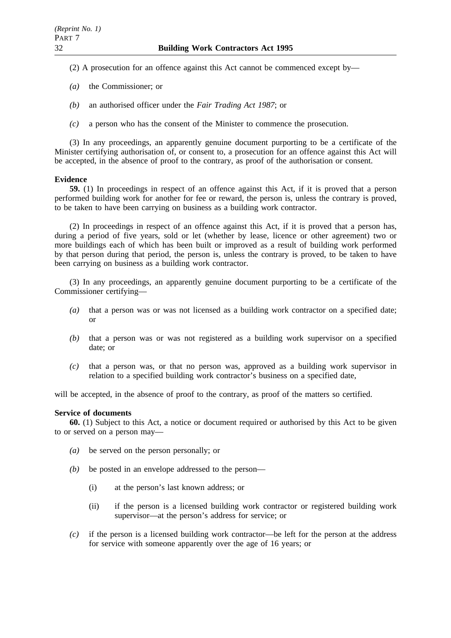- (2) A prosecution for an offence against this Act cannot be commenced except by—
- *(a)* the Commissioner; or
- *(b)* an authorised officer under the *Fair Trading Act 1987*; or
- *(c)* a person who has the consent of the Minister to commence the prosecution.

(3) In any proceedings, an apparently genuine document purporting to be a certificate of the Minister certifying authorisation of, or consent to, a prosecution for an offence against this Act will be accepted, in the absence of proof to the contrary, as proof of the authorisation or consent.

# **Evidence**

**59.** (1) In proceedings in respect of an offence against this Act, if it is proved that a person performed building work for another for fee or reward, the person is, unless the contrary is proved, to be taken to have been carrying on business as a building work contractor.

(2) In proceedings in respect of an offence against this Act, if it is proved that a person has, during a period of five years, sold or let (whether by lease, licence or other agreement) two or more buildings each of which has been built or improved as a result of building work performed by that person during that period, the person is, unless the contrary is proved, to be taken to have been carrying on business as a building work contractor.

(3) In any proceedings, an apparently genuine document purporting to be a certificate of the Commissioner certifying—

- *(a)* that a person was or was not licensed as a building work contractor on a specified date; or
- *(b)* that a person was or was not registered as a building work supervisor on a specified date; or
- *(c)* that a person was, or that no person was, approved as a building work supervisor in relation to a specified building work contractor's business on a specified date,

will be accepted, in the absence of proof to the contrary, as proof of the matters so certified.

# **Service of documents**

**60.** (1) Subject to this Act, a notice or document required or authorised by this Act to be given to or served on a person may—

- *(a)* be served on the person personally; or
- *(b)* be posted in an envelope addressed to the person—
	- (i) at the person's last known address; or
	- (ii) if the person is a licensed building work contractor or registered building work supervisor—at the person's address for service; or
- *(c)* if the person is a licensed building work contractor—be left for the person at the address for service with someone apparently over the age of 16 years; or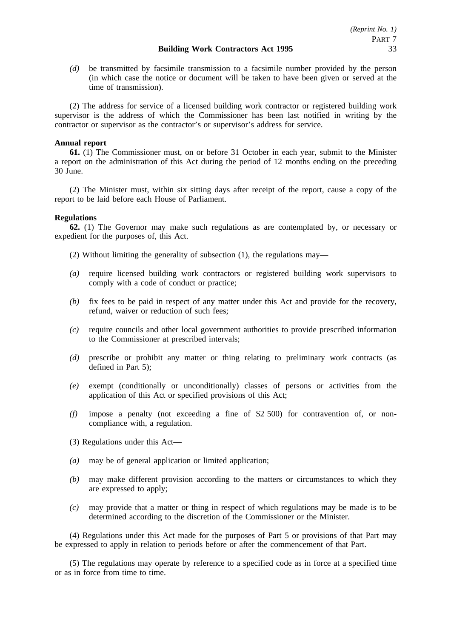*(d)* be transmitted by facsimile transmission to a facsimile number provided by the person (in which case the notice or document will be taken to have been given or served at the time of transmission).

(2) The address for service of a licensed building work contractor or registered building work supervisor is the address of which the Commissioner has been last notified in writing by the contractor or supervisor as the contractor's or supervisor's address for service.

# **Annual report**

**61.** (1) The Commissioner must, on or before 31 October in each year, submit to the Minister a report on the administration of this Act during the period of 12 months ending on the preceding 30 June.

(2) The Minister must, within six sitting days after receipt of the report, cause a copy of the report to be laid before each House of Parliament.

# **Regulations**

**62.** (1) The Governor may make such regulations as are contemplated by, or necessary or expedient for the purposes of, this Act.

- (2) Without limiting the generality of subsection (1), the regulations may—
- *(a)* require licensed building work contractors or registered building work supervisors to comply with a code of conduct or practice;
- *(b)* fix fees to be paid in respect of any matter under this Act and provide for the recovery, refund, waiver or reduction of such fees;
- *(c)* require councils and other local government authorities to provide prescribed information to the Commissioner at prescribed intervals;
- *(d)* prescribe or prohibit any matter or thing relating to preliminary work contracts (as defined in Part 5);
- *(e)* exempt (conditionally or unconditionally) classes of persons or activities from the application of this Act or specified provisions of this Act;
- *(f)* impose a penalty (not exceeding a fine of \$2 500) for contravention of, or noncompliance with, a regulation.
- (3) Regulations under this Act—
- *(a)* may be of general application or limited application;
- *(b)* may make different provision according to the matters or circumstances to which they are expressed to apply;
- *(c)* may provide that a matter or thing in respect of which regulations may be made is to be determined according to the discretion of the Commissioner or the Minister.

(4) Regulations under this Act made for the purposes of Part 5 or provisions of that Part may be expressed to apply in relation to periods before or after the commencement of that Part.

(5) The regulations may operate by reference to a specified code as in force at a specified time or as in force from time to time.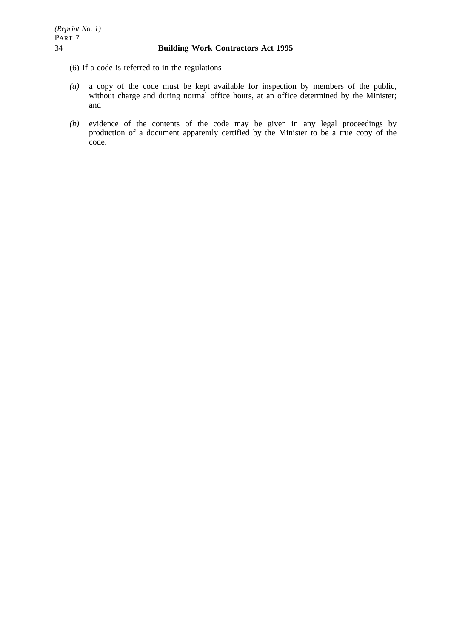(6) If a code is referred to in the regulations—

- *(a)* a copy of the code must be kept available for inspection by members of the public, without charge and during normal office hours, at an office determined by the Minister; and
- *(b)* evidence of the contents of the code may be given in any legal proceedings by production of a document apparently certified by the Minister to be a true copy of the code.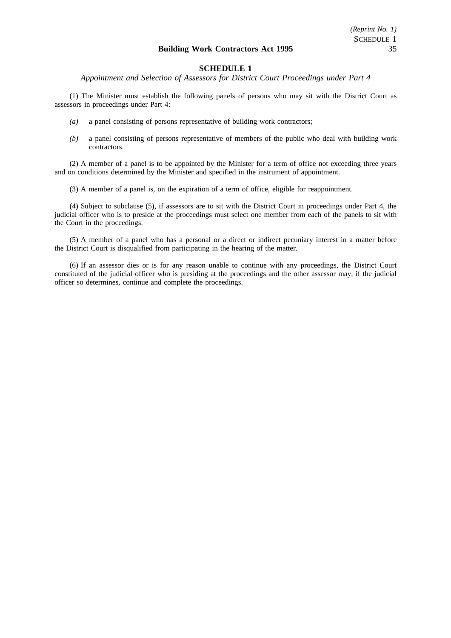*Appointment and Selection of Assessors for District Court Proceedings under Part 4*

(1) The Minister must establish the following panels of persons who may sit with the District Court as assessors in proceedings under Part 4:

- *(a)* a panel consisting of persons representative of building work contractors;
- *(b)* a panel consisting of persons representative of members of the public who deal with building work contractors.

(2) A member of a panel is to be appointed by the Minister for a term of office not exceeding three years and on conditions determined by the Minister and specified in the instrument of appointment.

(3) A member of a panel is, on the expiration of a term of office, eligible for reappointment.

(4) Subject to subclause (5), if assessors are to sit with the District Court in proceedings under Part 4, the judicial officer who is to preside at the proceedings must select one member from each of the panels to sit with the Court in the proceedings.

(5) A member of a panel who has a personal or a direct or indirect pecuniary interest in a matter before the District Court is disqualified from participating in the hearing of the matter.

(6) If an assessor dies or is for any reason unable to continue with any proceedings, the District Court constituted of the judicial officer who is presiding at the proceedings and the other assessor may, if the judicial officer so determines, continue and complete the proceedings.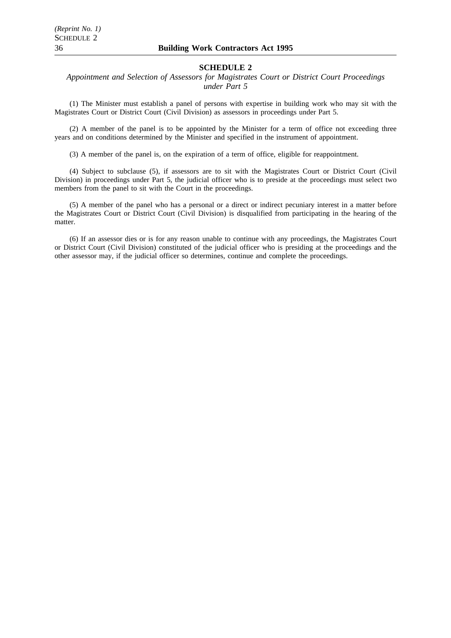*Appointment and Selection of Assessors for Magistrates Court or District Court Proceedings under Part 5*

(1) The Minister must establish a panel of persons with expertise in building work who may sit with the Magistrates Court or District Court (Civil Division) as assessors in proceedings under Part 5.

(2) A member of the panel is to be appointed by the Minister for a term of office not exceeding three years and on conditions determined by the Minister and specified in the instrument of appointment.

(3) A member of the panel is, on the expiration of a term of office, eligible for reappointment.

(4) Subject to subclause (5), if assessors are to sit with the Magistrates Court or District Court (Civil Division) in proceedings under Part 5, the judicial officer who is to preside at the proceedings must select two members from the panel to sit with the Court in the proceedings.

(5) A member of the panel who has a personal or a direct or indirect pecuniary interest in a matter before the Magistrates Court or District Court (Civil Division) is disqualified from participating in the hearing of the matter.

(6) If an assessor dies or is for any reason unable to continue with any proceedings, the Magistrates Court or District Court (Civil Division) constituted of the judicial officer who is presiding at the proceedings and the other assessor may, if the judicial officer so determines, continue and complete the proceedings.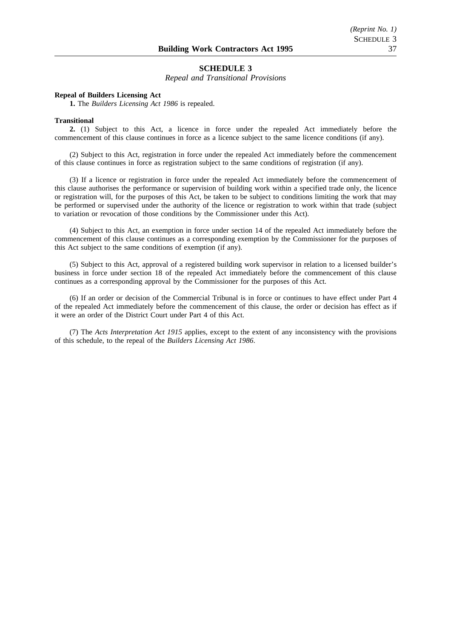*Repeal and Transitional Provisions*

#### **Repeal of Builders Licensing Act**

**1.** The *Builders Licensing Act 1986* is repealed.

#### **Transitional**

**2.** (1) Subject to this Act, a licence in force under the repealed Act immediately before the commencement of this clause continues in force as a licence subject to the same licence conditions (if any).

(2) Subject to this Act, registration in force under the repealed Act immediately before the commencement of this clause continues in force as registration subject to the same conditions of registration (if any).

(3) If a licence or registration in force under the repealed Act immediately before the commencement of this clause authorises the performance or supervision of building work within a specified trade only, the licence or registration will, for the purposes of this Act, be taken to be subject to conditions limiting the work that may be performed or supervised under the authority of the licence or registration to work within that trade (subject to variation or revocation of those conditions by the Commissioner under this Act).

(4) Subject to this Act, an exemption in force under section 14 of the repealed Act immediately before the commencement of this clause continues as a corresponding exemption by the Commissioner for the purposes of this Act subject to the same conditions of exemption (if any).

(5) Subject to this Act, approval of a registered building work supervisor in relation to a licensed builder's business in force under section 18 of the repealed Act immediately before the commencement of this clause continues as a corresponding approval by the Commissioner for the purposes of this Act.

(6) If an order or decision of the Commercial Tribunal is in force or continues to have effect under Part 4 of the repealed Act immediately before the commencement of this clause, the order or decision has effect as if it were an order of the District Court under Part 4 of this Act.

(7) The *Acts Interpretation Act 1915* applies, except to the extent of any inconsistency with the provisions of this schedule, to the repeal of the *Builders Licensing Act 1986*.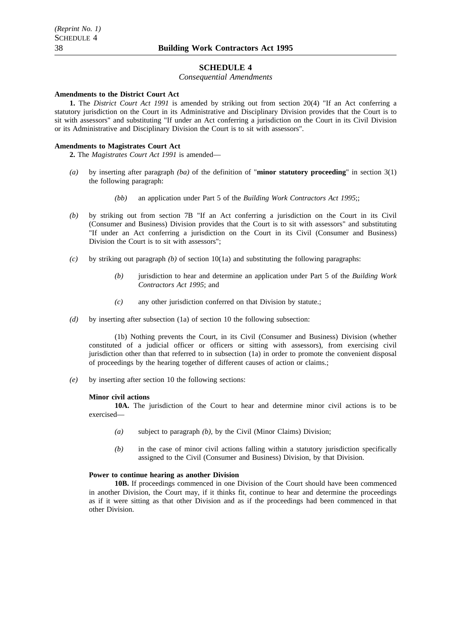*Consequential Amendments*

#### **Amendments to the District Court Act**

**1.** The *District Court Act 1991* is amended by striking out from section 20(4) "If an Act conferring a statutory jurisdiction on the Court in its Administrative and Disciplinary Division provides that the Court is to sit with assessors" and substituting "If under an Act conferring a jurisdiction on the Court in its Civil Division or its Administrative and Disciplinary Division the Court is to sit with assessors".

#### **Amendments to Magistrates Court Act**

**2.** The *Magistrates Court Act 1991* is amended—

- *(a)* by inserting after paragraph *(ba)* of the definition of "**minor statutory proceeding**" in section 3(1) the following paragraph:
	- *(bb)* an application under Part 5 of the *Building Work Contractors Act 1995*;;
- *(b)* by striking out from section 7B "If an Act conferring a jurisdiction on the Court in its Civil (Consumer and Business) Division provides that the Court is to sit with assessors" and substituting "If under an Act conferring a jurisdiction on the Court in its Civil (Consumer and Business) Division the Court is to sit with assessors";
- *(c)* by striking out paragraph *(b)* of section 10(1a) and substituting the following paragraphs:
	- *(b)* jurisdiction to hear and determine an application under Part 5 of the *Building Work Contractors Act 1995*; and
	- *(c)* any other jurisdiction conferred on that Division by statute.;
- *(d)* by inserting after subsection (1a) of section 10 the following subsection:

(1b) Nothing prevents the Court, in its Civil (Consumer and Business) Division (whether constituted of a judicial officer or officers or sitting with assessors), from exercising civil jurisdiction other than that referred to in subsection (1a) in order to promote the convenient disposal of proceedings by the hearing together of different causes of action or claims.;

*(e)* by inserting after section 10 the following sections:

#### **Minor civil actions**

**10A.** The jurisdiction of the Court to hear and determine minor civil actions is to be exercised—

- *(a)* subject to paragraph *(b)*, by the Civil (Minor Claims) Division;
- *(b)* in the case of minor civil actions falling within a statutory jurisdiction specifically assigned to the Civil (Consumer and Business) Division, by that Division.

#### **Power to continue hearing as another Division**

**10B.** If proceedings commenced in one Division of the Court should have been commenced in another Division, the Court may, if it thinks fit, continue to hear and determine the proceedings as if it were sitting as that other Division and as if the proceedings had been commenced in that other Division.